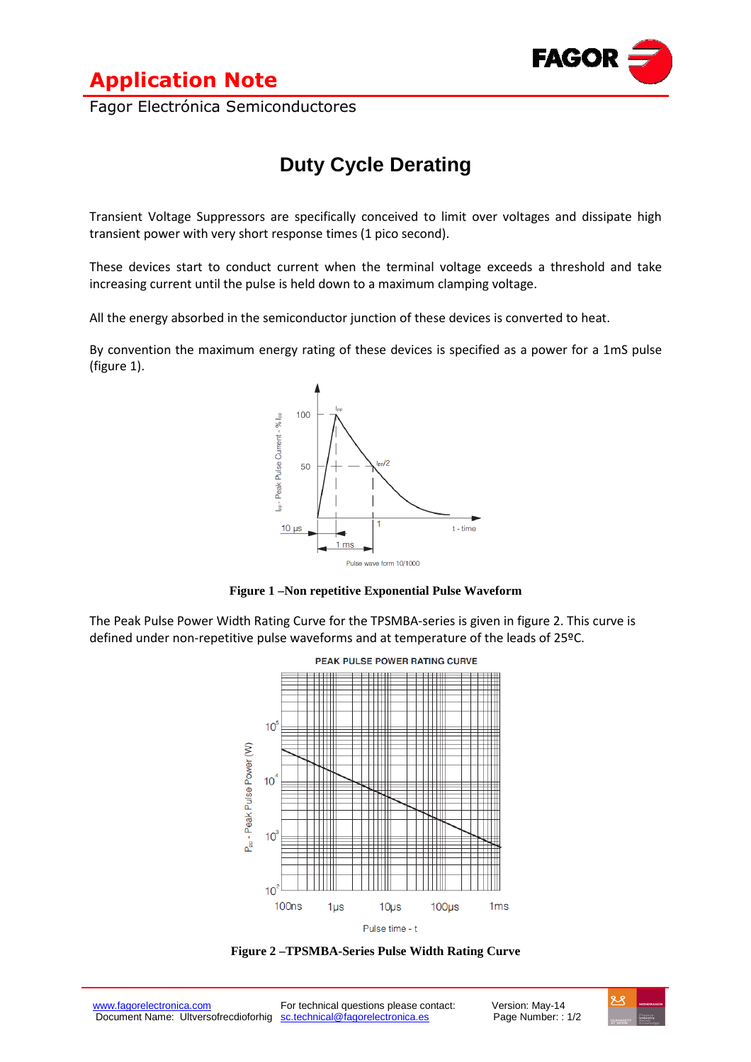



Fagor Electrónica Semiconductores

## **Duty Cycle Derating**

Transient Voltage Suppressors are specifically conceived to limit over voltages and dissipate high transient power with very short response times (1 pico second).

These devices start to conduct current when the terminal voltage exceeds a threshold and take increasing current until the pulse is held down to a maximum clamping voltage.

All the energy absorbed in the semiconductor junction of these devices is converted to heat.

By convention the maximum energy rating of these devices is specified as a power for a 1mS pulse (figure 1).





The Peak Pulse Power Width Rating Curve for the TPSMBA-series is given in figure 2. This curve is defined under non-repetitive pulse waveforms and at temperature of the leads of 25ºC.



**Figure 2 –TPSMBA-Series Pulse Width Rating Curve**